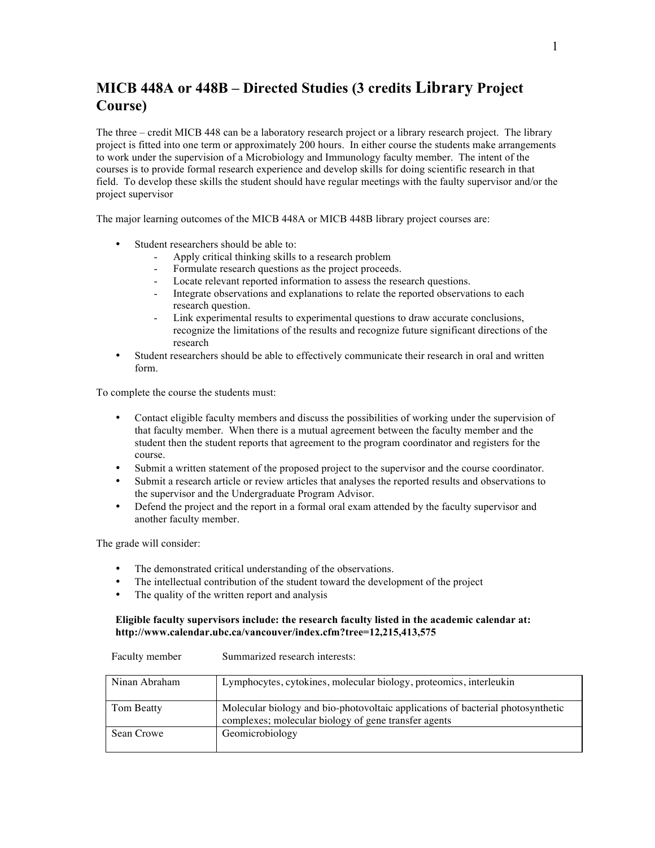## **MICB 448A or 448B – Directed Studies (3 credits Library Project Course)**

The three – credit MICB 448 can be a laboratory research project or a library research project. The library project is fitted into one term or approximately 200 hours. In either course the students make arrangements to work under the supervision of a Microbiology and Immunology faculty member. The intent of the courses is to provide formal research experience and develop skills for doing scientific research in that field. To develop these skills the student should have regular meetings with the faulty supervisor and/or the project supervisor

The major learning outcomes of the MICB 448A or MICB 448B library project courses are:

- Student researchers should be able to:
	- Apply critical thinking skills to a research problem
	- Formulate research questions as the project proceeds.
	- Locate relevant reported information to assess the research questions.
	- Integrate observations and explanations to relate the reported observations to each research question.
	- Link experimental results to experimental questions to draw accurate conclusions, recognize the limitations of the results and recognize future significant directions of the research
- Student researchers should be able to effectively communicate their research in oral and written form.

To complete the course the students must:

- Contact eligible faculty members and discuss the possibilities of working under the supervision of that faculty member. When there is a mutual agreement between the faculty member and the student then the student reports that agreement to the program coordinator and registers for the course.
- Submit a written statement of the proposed project to the supervisor and the course coordinator.
- Submit a research article or review articles that analyses the reported results and observations to the supervisor and the Undergraduate Program Advisor.
- Defend the project and the report in a formal oral exam attended by the faculty supervisor and another faculty member.

The grade will consider:

- The demonstrated critical understanding of the observations.
- The intellectual contribution of the student toward the development of the project
- The quality of the written report and analysis

## **Eligible faculty supervisors include: the research faculty listed in the academic calendar at: http://www.calendar.ubc.ca/vancouver/index.cfm?tree=12,215,413,575**

| <b>Faculty Illellibel</b> | Sunnanzed research merests.                                                                                                             |
|---------------------------|-----------------------------------------------------------------------------------------------------------------------------------------|
| Ninan Abraham             | Lymphocytes, cytokines, molecular biology, proteomics, interleukin                                                                      |
| Tom Beatty                | Molecular biology and bio-photovoltaic applications of bacterial photosynthetic<br>complexes; molecular biology of gene transfer agents |
| Sean Crowe                | Geomicrobiology                                                                                                                         |

Faculty member Summarized research interests: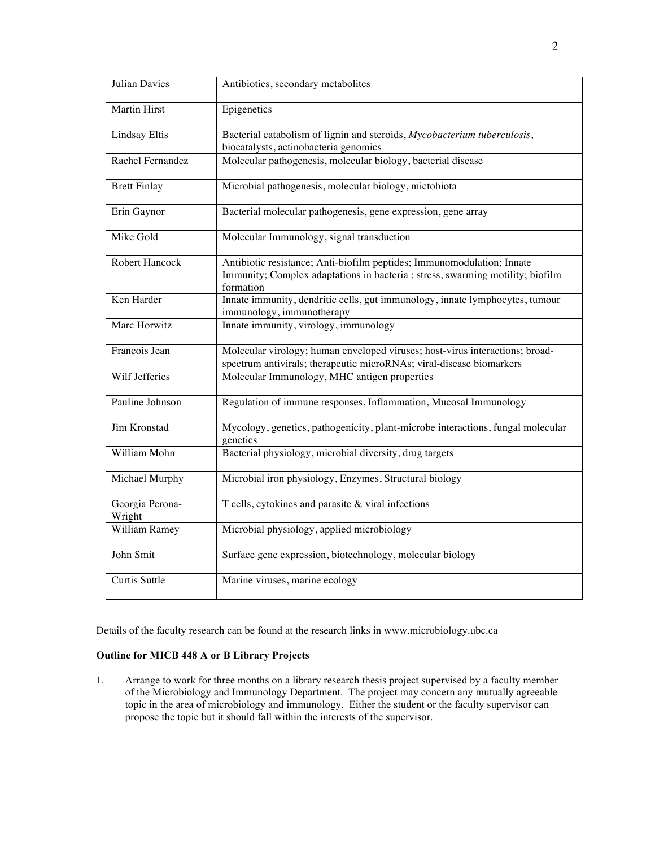| <b>Julian Davies</b>      | Antibiotics, secondary metabolites                                                                                                                                    |
|---------------------------|-----------------------------------------------------------------------------------------------------------------------------------------------------------------------|
| <b>Martin Hirst</b>       | Epigenetics                                                                                                                                                           |
| <b>Lindsay Eltis</b>      | Bacterial catabolism of lignin and steroids, Mycobacterium tuberculosis,<br>biocatalysts, actinobacteria genomics                                                     |
| Rachel Fernandez          | Molecular pathogenesis, molecular biology, bacterial disease                                                                                                          |
| <b>Brett Finlay</b>       | Microbial pathogenesis, molecular biology, mictobiota                                                                                                                 |
| Erin Gaynor               | Bacterial molecular pathogenesis, gene expression, gene array                                                                                                         |
| Mike Gold                 | Molecular Immunology, signal transduction                                                                                                                             |
| Robert Hancock            | Antibiotic resistance; Anti-biofilm peptides; Immunomodulation; Innate<br>Immunity; Complex adaptations in bacteria : stress, swarming motility; biofilm<br>formation |
| Ken Harder                | Innate immunity, dendritic cells, gut immunology, innate lymphocytes, tumour<br>immunology, immunotherapy                                                             |
| Marc Horwitz              | Innate immunity, virology, immunology                                                                                                                                 |
| Francois Jean             | Molecular virology; human enveloped viruses; host-virus interactions; broad-<br>spectrum antivirals; therapeutic microRNAs; viral-disease biomarkers                  |
| Wilf Jefferies            | Molecular Immunology, MHC antigen properties                                                                                                                          |
| Pauline Johnson           | Regulation of immune responses, Inflammation, Mucosal Immunology                                                                                                      |
| Jim Kronstad              | Mycology, genetics, pathogenicity, plant-microbe interactions, fungal molecular<br>genetics                                                                           |
| William Mohn              | Bacterial physiology, microbial diversity, drug targets                                                                                                               |
| Michael Murphy            | Microbial iron physiology, Enzymes, Structural biology                                                                                                                |
| Georgia Perona-<br>Wright | T cells, cytokines and parasite & viral infections                                                                                                                    |
| William Ramey             | Microbial physiology, applied microbiology                                                                                                                            |
| John Smit                 | Surface gene expression, biotechnology, molecular biology                                                                                                             |
| <b>Curtis Suttle</b>      | Marine viruses, marine ecology                                                                                                                                        |

Details of the faculty research can be found at the research links in www.microbiology.ubc.ca

## **Outline for MICB 448 A or B Library Projects**

1. Arrange to work for three months on a library research thesis project supervised by a faculty member of the Microbiology and Immunology Department. The project may concern any mutually agreeable topic in the area of microbiology and immunology. Either the student or the faculty supervisor can propose the topic but it should fall within the interests of the supervisor.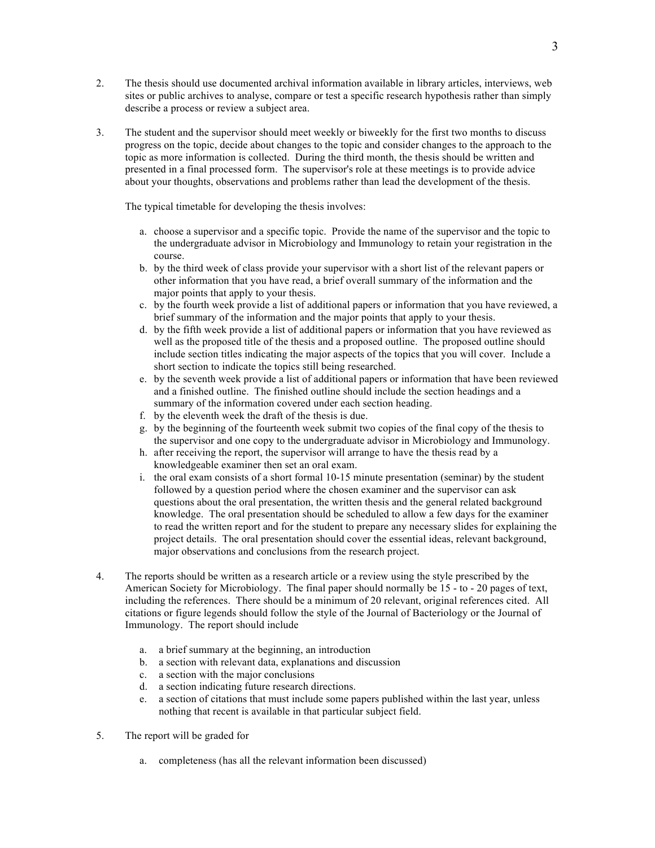- 2. The thesis should use documented archival information available in library articles, interviews, web sites or public archives to analyse, compare or test a specific research hypothesis rather than simply describe a process or review a subject area.
- 3. The student and the supervisor should meet weekly or biweekly for the first two months to discuss progress on the topic, decide about changes to the topic and consider changes to the approach to the topic as more information is collected. During the third month, the thesis should be written and presented in a final processed form. The supervisor's role at these meetings is to provide advice about your thoughts, observations and problems rather than lead the development of the thesis.

The typical timetable for developing the thesis involves:

- a. choose a supervisor and a specific topic. Provide the name of the supervisor and the topic to the undergraduate advisor in Microbiology and Immunology to retain your registration in the course.
- b. by the third week of class provide your supervisor with a short list of the relevant papers or other information that you have read, a brief overall summary of the information and the major points that apply to your thesis.
- c. by the fourth week provide a list of additional papers or information that you have reviewed, a brief summary of the information and the major points that apply to your thesis.
- d. by the fifth week provide a list of additional papers or information that you have reviewed as well as the proposed title of the thesis and a proposed outline. The proposed outline should include section titles indicating the major aspects of the topics that you will cover. Include a short section to indicate the topics still being researched.
- e. by the seventh week provide a list of additional papers or information that have been reviewed and a finished outline. The finished outline should include the section headings and a summary of the information covered under each section heading.
- f. by the eleventh week the draft of the thesis is due.
- g. by the beginning of the fourteenth week submit two copies of the final copy of the thesis to the supervisor and one copy to the undergraduate advisor in Microbiology and Immunology.
- h. after receiving the report, the supervisor will arrange to have the thesis read by a knowledgeable examiner then set an oral exam.
- i. the oral exam consists of a short formal 10-15 minute presentation (seminar) by the student followed by a question period where the chosen examiner and the supervisor can ask questions about the oral presentation, the written thesis and the general related background knowledge. The oral presentation should be scheduled to allow a few days for the examiner to read the written report and for the student to prepare any necessary slides for explaining the project details. The oral presentation should cover the essential ideas, relevant background, major observations and conclusions from the research project.
- 4. The reports should be written as a research article or a review using the style prescribed by the American Society for Microbiology. The final paper should normally be 15 - to - 20 pages of text, including the references. There should be a minimum of 20 relevant, original references cited. All citations or figure legends should follow the style of the Journal of Bacteriology or the Journal of Immunology. The report should include
	- a. a brief summary at the beginning, an introduction
	- b. a section with relevant data, explanations and discussion
	- c. a section with the major conclusions
	- d. a section indicating future research directions.
	- e. a section of citations that must include some papers published within the last year, unless nothing that recent is available in that particular subject field.
- 5. The report will be graded for
	- a. completeness (has all the relevant information been discussed)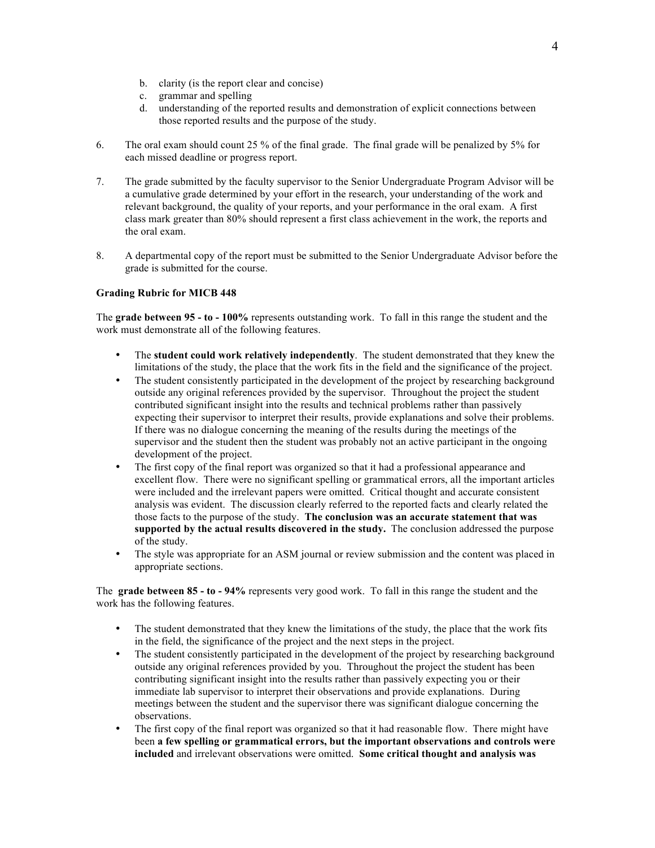- b. clarity (is the report clear and concise)
- c. grammar and spelling
- d. understanding of the reported results and demonstration of explicit connections between those reported results and the purpose of the study.
- 6. The oral exam should count 25 % of the final grade. The final grade will be penalized by 5% for each missed deadline or progress report.
- 7. The grade submitted by the faculty supervisor to the Senior Undergraduate Program Advisor will be a cumulative grade determined by your effort in the research, your understanding of the work and relevant background, the quality of your reports, and your performance in the oral exam. A first class mark greater than 80% should represent a first class achievement in the work, the reports and the oral exam.
- 8. A departmental copy of the report must be submitted to the Senior Undergraduate Advisor before the grade is submitted for the course.

## **Grading Rubric for MICB 448**

The **grade between 95 - to - 100%** represents outstanding work. To fall in this range the student and the work must demonstrate all of the following features.

- The **student could work relatively independently**. The student demonstrated that they knew the limitations of the study, the place that the work fits in the field and the significance of the project.
- The student consistently participated in the development of the project by researching background outside any original references provided by the supervisor. Throughout the project the student contributed significant insight into the results and technical problems rather than passively expecting their supervisor to interpret their results, provide explanations and solve their problems. If there was no dialogue concerning the meaning of the results during the meetings of the supervisor and the student then the student was probably not an active participant in the ongoing development of the project.
- The first copy of the final report was organized so that it had a professional appearance and excellent flow. There were no significant spelling or grammatical errors, all the important articles were included and the irrelevant papers were omitted. Critical thought and accurate consistent analysis was evident. The discussion clearly referred to the reported facts and clearly related the those facts to the purpose of the study. **The conclusion was an accurate statement that was supported by the actual results discovered in the study.** The conclusion addressed the purpose of the study.
- The style was appropriate for an ASM journal or review submission and the content was placed in appropriate sections.

The **grade between 85 - to - 94%** represents very good work. To fall in this range the student and the work has the following features.

- The student demonstrated that they knew the limitations of the study, the place that the work fits in the field, the significance of the project and the next steps in the project.
- The student consistently participated in the development of the project by researching background outside any original references provided by you. Throughout the project the student has been contributing significant insight into the results rather than passively expecting you or their immediate lab supervisor to interpret their observations and provide explanations. During meetings between the student and the supervisor there was significant dialogue concerning the observations.
- The first copy of the final report was organized so that it had reasonable flow. There might have been **a few spelling or grammatical errors, but the important observations and controls were included** and irrelevant observations were omitted. **Some critical thought and analysis was**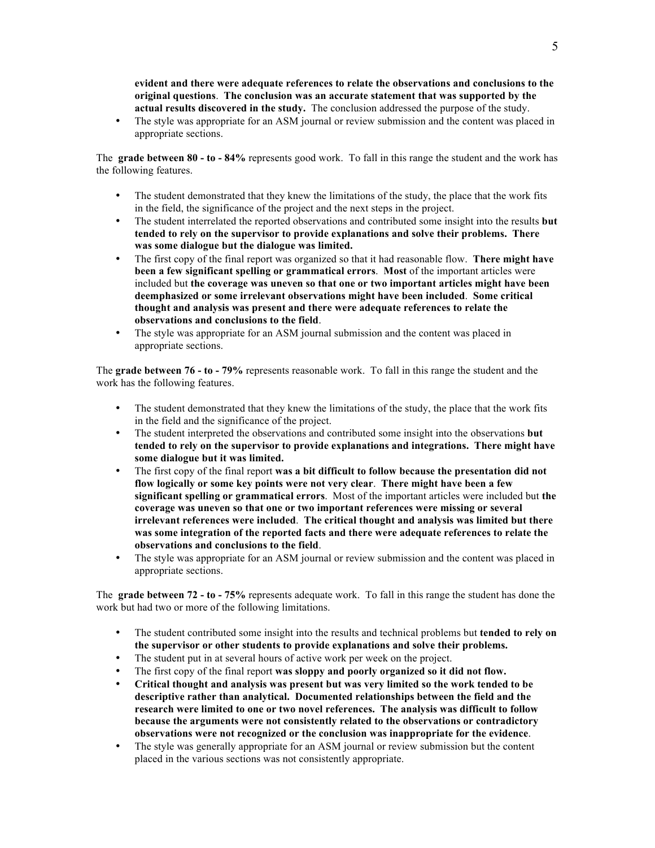**evident and there were adequate references to relate the observations and conclusions to the original questions**. **The conclusion was an accurate statement that was supported by the actual results discovered in the study.** The conclusion addressed the purpose of the study.

• The style was appropriate for an ASM journal or review submission and the content was placed in appropriate sections.

The **grade between 80 - to - 84%** represents good work. To fall in this range the student and the work has the following features.

- The student demonstrated that they knew the limitations of the study, the place that the work fits in the field, the significance of the project and the next steps in the project.
- The student interrelated the reported observations and contributed some insight into the results **but tended to rely on the supervisor to provide explanations and solve their problems. There was some dialogue but the dialogue was limited.**
- The first copy of the final report was organized so that it had reasonable flow. **There might have been a few significant spelling or grammatical errors**. **Most** of the important articles were included but **the coverage was uneven so that one or two important articles might have been deemphasized or some irrelevant observations might have been included**. **Some critical thought and analysis was present and there were adequate references to relate the observations and conclusions to the field**.
- The style was appropriate for an ASM journal submission and the content was placed in appropriate sections.

The **grade between 76 - to - 79%** represents reasonable work. To fall in this range the student and the work has the following features.

- The student demonstrated that they knew the limitations of the study, the place that the work fits in the field and the significance of the project.
- The student interpreted the observations and contributed some insight into the observations **but tended to rely on the supervisor to provide explanations and integrations. There might have some dialogue but it was limited.**
- The first copy of the final report **was a bit difficult to follow because the presentation did not flow logically or some key points were not very clear**. **There might have been a few significant spelling or grammatical errors**. Most of the important articles were included but **the coverage was uneven so that one or two important references were missing or several irrelevant references were included**. **The critical thought and analysis was limited but there was some integration of the reported facts and there were adequate references to relate the observations and conclusions to the field**.
- The style was appropriate for an ASM journal or review submission and the content was placed in appropriate sections.

The **grade between 72 - to - 75%** represents adequate work. To fall in this range the student has done the work but had two or more of the following limitations.

- The student contributed some insight into the results and technical problems but **tended to rely on the supervisor or other students to provide explanations and solve their problems.**
- The student put in at several hours of active work per week on the project.
- The first copy of the final report **was sloppy and poorly organized so it did not flow.**
- **Critical thought and analysis was present but was very limited so the work tended to be descriptive rather than analytical. Documented relationships between the field and the research were limited to one or two novel references. The analysis was difficult to follow because the arguments were not consistently related to the observations or contradictory observations were not recognized or the conclusion was inappropriate for the evidence**.
- The style was generally appropriate for an ASM journal or review submission but the content placed in the various sections was not consistently appropriate.